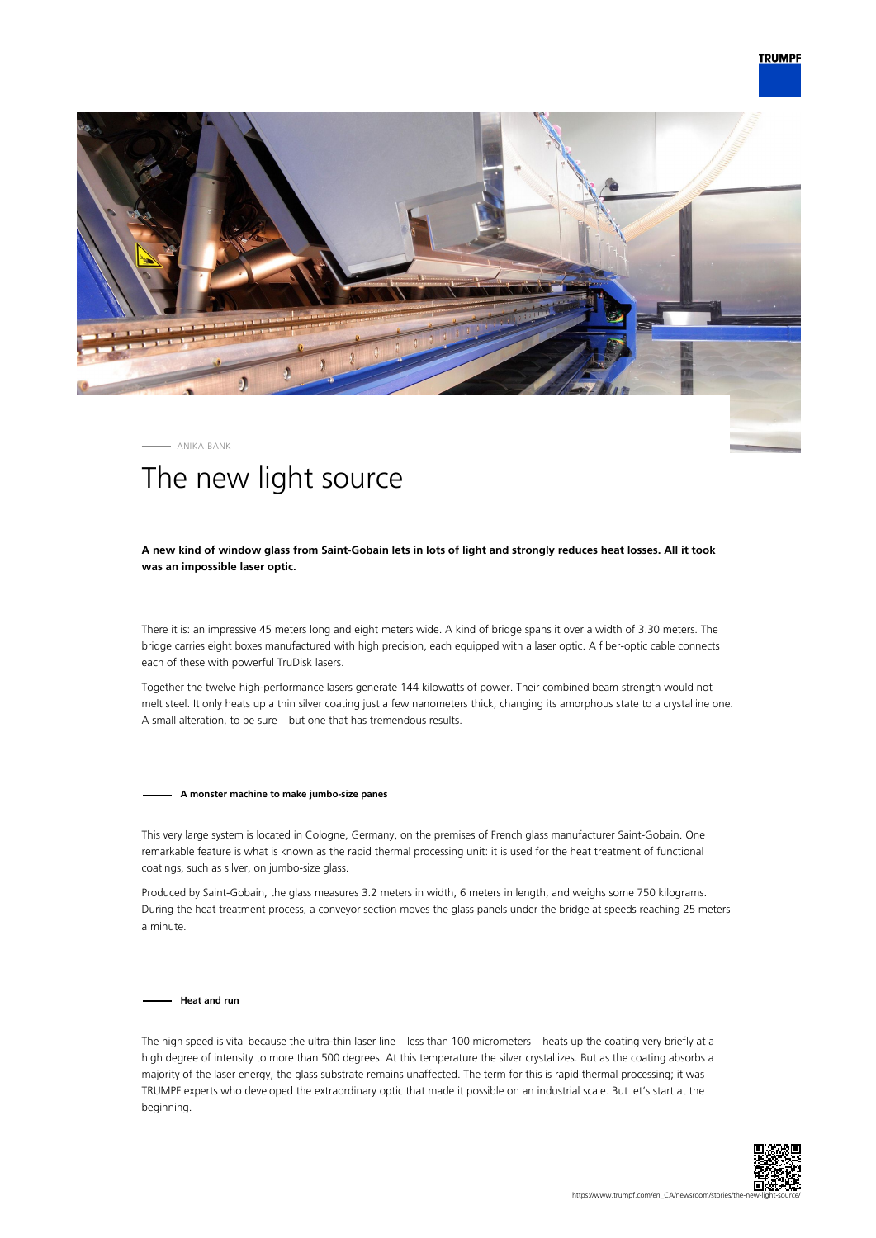

ANIKA BANK

# The new light source

# **A new kind of window glass from Saint-Gobain lets in lots of light and strongly reduces heat losses. All it took was an impossible laser optic.**

There it is: an impressive 45 meters long and eight meters wide. A kind of bridge spans it over a width of 3.30 meters. The bridge carries eight boxes manufactured with high precision, each equipped with a laser optic. A fiber-optic cable connects each of these with powerful TruDisk lasers.

Together the twelve high-performance lasers generate 144 kilowatts of power. Their combined beam strength would not melt steel. It only heats up a thin silver coating just a few nanometers thick, changing its amorphous state to a crystalline one. A small alteration, to be sure – but one that has tremendous results.

#### **A monster machine to make jumbo-size panes**

This very large system is located in Cologne, Germany, on the premises of French glass manufacturer Saint-Gobain. One remarkable feature is what is known as the rapid thermal processing unit: it is used for the heat treatment of functional coatings, such as silver, on jumbo-size glass.

Produced by Saint-Gobain, the glass measures 3.2 meters in width, 6 meters in length, and weighs some 750 kilograms. During the heat treatment process, a conveyor section moves the glass panels under the bridge at speeds reaching 25 meters a minute.

**Heat and run**

The high speed is vital because the ultra-thin laser line – less than 100 micrometers – heats up the coating very briefly at a high degree of intensity to more than 500 degrees. At this temperature the silver crystallizes. But as the coating absorbs a majority of the laser energy, the glass substrate remains unaffected. The term for this is rapid thermal processing; it was TRUMPF experts who developed the extraordinary optic that made it possible on an industrial scale. But let's start at the beginning.

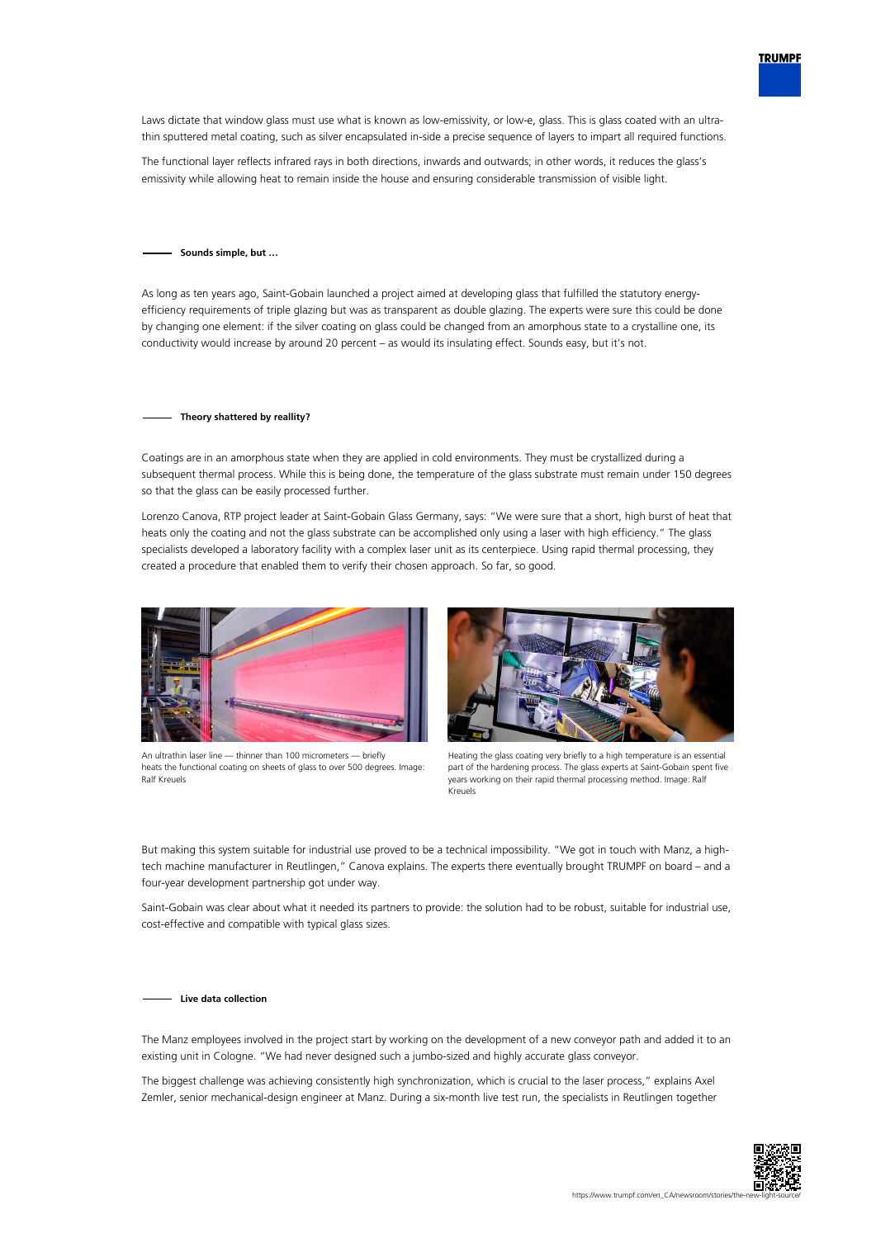

Laws dictate that window glass must use what is known as low-emissivity, or low-e, glass. This is glass coated with an ultrathin sputtered metal coating, such as silver encapsulated in-side a precise sequence of layers to impart all required functions.

The functional layer reflects infrared rays in both directions, inwards and outwards; in other words, it reduces the glass's emissivity while allowing heat to remain inside the house and ensuring considerable transmission of visible light.

## **Sounds simple, but …**

As long as ten years ago, Saint-Gobain launched a project aimed at developing glass that fulfilled the statutory energyefficiency requirements of triple glazing but was as transparent as double glazing. The experts were sure this could be done by changing one element: if the silver coating on glass could be changed from an amorphous state to a crystalline one, its conductivity would increase by around 20 percent – as would its insulating effect. Sounds easy, but it's not.

## **Theory shattered by reallity?**

Coatings are in an amorphous state when they are applied in cold environments. They must be crystallized during a subsequent thermal process. While this is being done, the temperature of the glass substrate must remain under 150 degrees so that the glass can be easily processed further.

Lorenzo Canova, RTP project leader at Saint-Gobain Glass Germany, says: "We were sure that a short, high burst of heat that heats only the coating and not the glass substrate can be accomplished only using a laser with high efficiency." The glass specialists developed a laboratory facility with a complex laser unit as its centerpiece. Using rapid thermal processing, they created a procedure that enabled them to verify their chosen approach. So far, so good.



An ultrathin laser line — thinner than 100 micrometers — briefly heats the functional coating on sheets of glass to over 500 degrees. Image: Ralf Kreuels



Heating the glass coating very briefly to a high temperature is an essential part of the hardening process. The glass experts at Saint-Gobain spent five years working on their rapid thermal processing method. Image: Ralf Kreuels

But making this system suitable for industrial use proved to be a technical impossibility. "We got in touch with Manz, a hightech machine manufacturer in Reutlingen," Canova explains. The experts there eventually brought TRUMPF on board – and a four-year development partnership got under way.

Saint-Gobain was clear about what it needed its partners to provide: the solution had to be robust, suitable for industrial use, cost-effective and compatible with typical glass sizes.

#### **Live data collection**

The Manz employees involved in the project start by working on the development of a new conveyor path and added it to an existing unit in Cologne. "We had never designed such a jumbo-sized and highly accurate glass conveyor.

The biggest challenge was achieving consistently high synchronization, which is crucial to the laser process," explains Axel Zemler, senior mechanical-design engineer at Manz. During a six-month live test run, the specialists in Reutlingen together

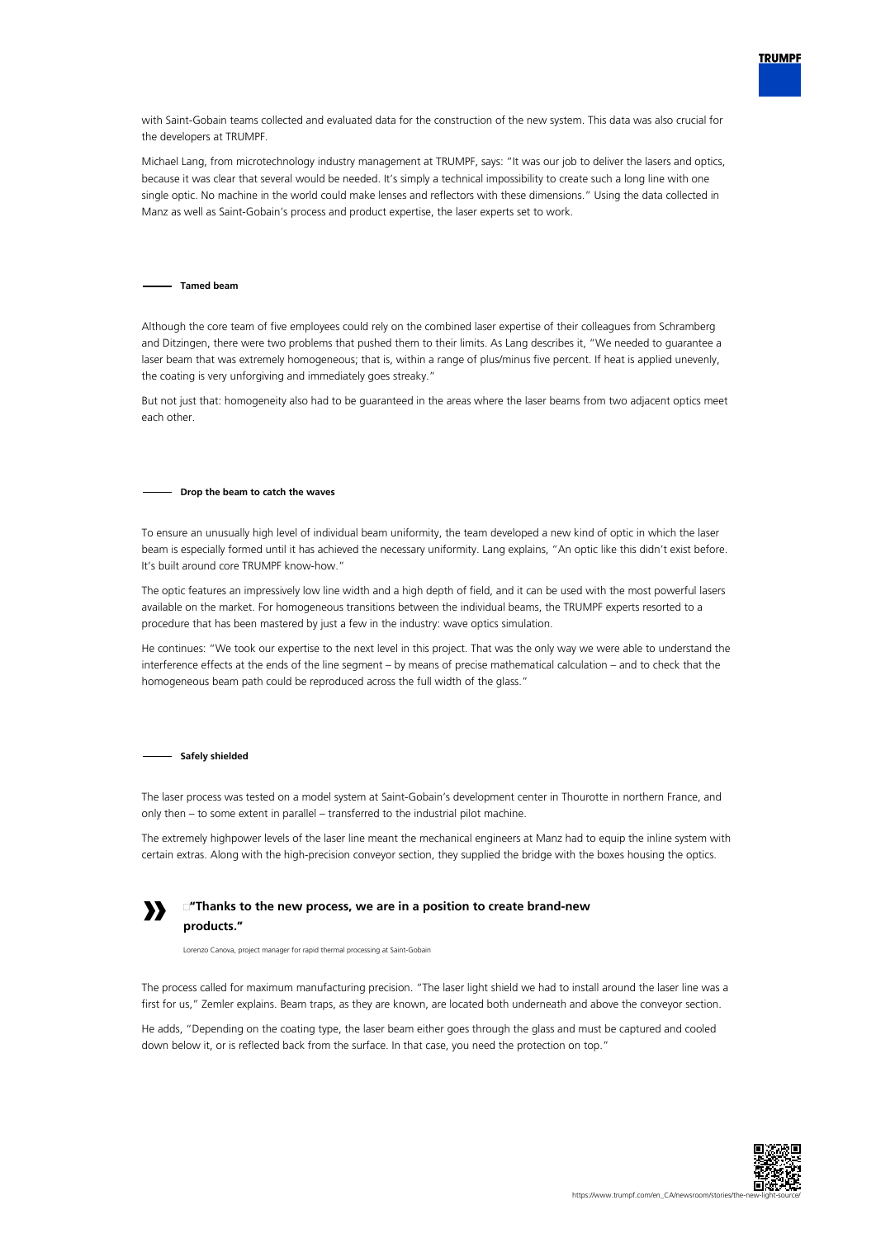

with Saint-Gobain teams collected and evaluated data for the construction of the new system. This data was also crucial for the developers at TRUMPF.

Michael Lang, from microtechnology industry management at TRUMPF, says: "It was our job to deliver the lasers and optics, because it was clear that several would be needed. It's simply a technical impossibility to create such a long line with one single optic. No machine in the world could make lenses and reflectors with these dimensions." Using the data collected in Manz as well as Saint-Gobain's process and product expertise, the laser experts set to work.

### **Tamed beam**

Although the core team of five employees could rely on the combined laser expertise of their colleagues from Schramberg and Ditzingen, there were two problems that pushed them to their limits. As Lang describes it, "We needed to guarantee a laser beam that was extremely homogeneous; that is, within a range of plus/minus five percent. If heat is applied unevenly, the coating is very unforgiving and immediately goes streaky."

But not just that: homogeneity also had to be guaranteed in the areas where the laser beams from two adjacent optics meet each other.

### **Drop the beam to catch the waves**

To ensure an unusually high level of individual beam uniformity, the team developed a new kind of optic in which the laser beam is especially formed until it has achieved the necessary uniformity. Lang explains, "An optic like this didn't exist before. It's built around core TRUMPF know-how."

The optic features an impressively low line width and a high depth of field, and it can be used with the most powerful lasers available on the market. For homogeneous transitions between the individual beams, the TRUMPF experts resorted to a procedure that has been mastered by just a few in the industry: wave optics simulation.

He continues: "We took our expertise to the next level in this project. That was the only way we were able to understand the interference effects at the ends of the line segment – by means of precise mathematical calculation – and to check that the homogeneous beam path could be reproduced across the full width of the glass."

#### **Safely shielded**

The laser process was tested on a model system at Saint-Gobain's development center in Thourotte in northern France, and only then – to some extent in parallel – transferred to the industrial pilot machine.

The extremely highpower levels of the laser line meant the mechanical engineers at Manz had to equip the inline system with certain extras. Along with the high-precision conveyor section, they supplied the bridge with the boxes housing the optics.



# **"Thanks to the new process, we are in a position to create brand-new products."**

Lorenzo Canova, project manager for rapid thermal processing at Saint-Gobain

The process called for maximum manufacturing precision. "The laser light shield we had to install around the laser line was a first for us," Zemler explains. Beam traps, as they are known, are located both underneath and above the conveyor section.

He adds, "Depending on the coating type, the laser beam either goes through the glass and must be captured and cooled down below it, or is reflected back from the surface. In that case, you need the protection on top."